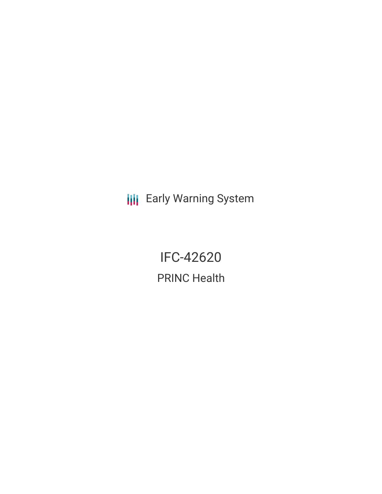**III** Early Warning System

IFC-42620 PRINC Health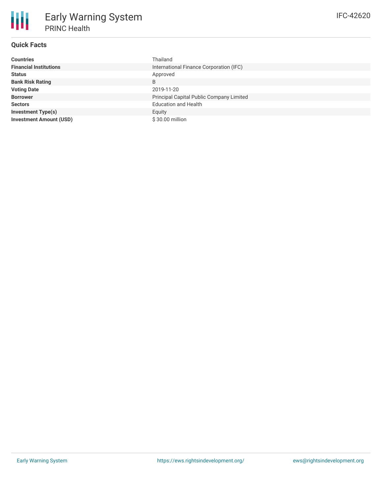# **Quick Facts**

朋

| <b>Countries</b>               | Thailand                                 |
|--------------------------------|------------------------------------------|
| <b>Financial Institutions</b>  | International Finance Corporation (IFC)  |
| <b>Status</b>                  | Approved                                 |
| <b>Bank Risk Rating</b>        | B                                        |
| <b>Voting Date</b>             | 2019-11-20                               |
| <b>Borrower</b>                | Principal Capital Public Company Limited |
| <b>Sectors</b>                 | <b>Education and Health</b>              |
| <b>Investment Type(s)</b>      | Equity                                   |
| <b>Investment Amount (USD)</b> | \$30.00 million                          |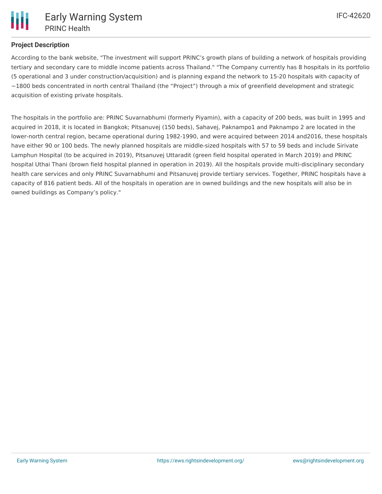# **Project Description**

According to the bank website, "The investment will support PRINC's growth plans of building a network of hospitals providing tertiary and secondary care to middle income patients across Thailand." "The Company currently has 8 hospitals in its portfolio (5 operational and 3 under construction/acquisition) and is planning expand the network to 15-20 hospitals with capacity of  $\sim$ 1800 beds concentrated in north central Thailand (the "Project") through a mix of greenfield development and strategic acquisition of existing private hospitals.

The hospitals in the portfolio are: PRINC Suvarnabhumi (formerly Piyamin), with a capacity of 200 beds, was built in 1995 and acquired in 2018, it is located in Bangkok; Pitsanuvej (150 beds), Sahavej, Paknampo1 and Paknampo 2 are located in the lower-north central region, became operational during 1982-1990, and were acquired between 2014 and2016, these hospitals have either 90 or 100 beds. The newly planned hospitals are middle-sized hospitals with 57 to 59 beds and include Sirivate Lamphun Hospital (to be acquired in 2019), Pitsanuvej Uttaradit (green field hospital operated in March 2019) and PRINC hospital Uthai Thani (brown field hospital planned in operation in 2019). All the hospitals provide multi-disciplinary secondary health care services and only PRINC Suvarnabhumi and Pitsanuvej provide tertiary services. Together, PRINC hospitals have a capacity of 816 patient beds. All of the hospitals in operation are in owned buildings and the new hospitals will also be in owned buildings as Company's policy."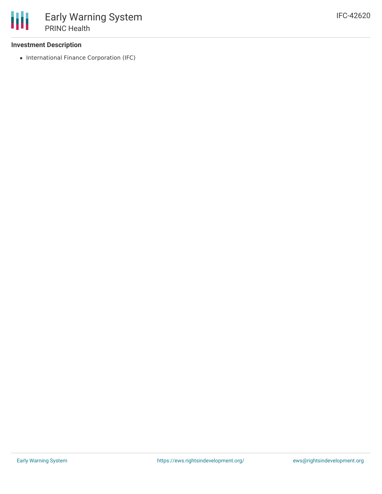### **Investment Description**

• International Finance Corporation (IFC)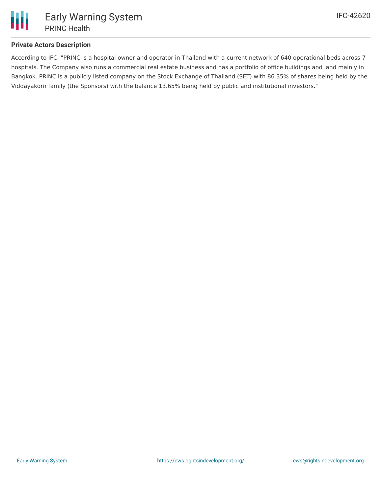

# **Private Actors Description**

According to IFC, "PRINC is a hospital owner and operator in Thailand with a current network of 640 operational beds across 7 hospitals. The Company also runs a commercial real estate business and has a portfolio of office buildings and land mainly in Bangkok. PRINC is a publicly listed company on the Stock Exchange of Thailand (SET) with 86.35% of shares being held by the Viddayakorn family (the Sponsors) with the balance 13.65% being held by public and institutional investors."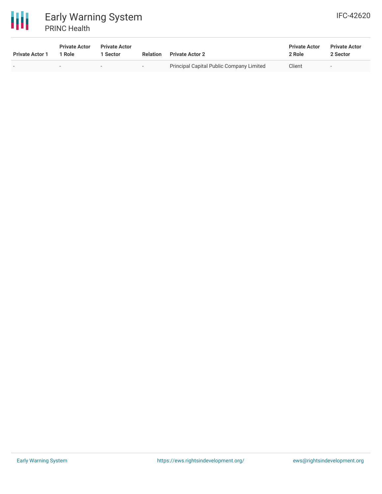

| <b>Private Actor 1</b>   | <b>Private Actor</b><br>Role | <b>Private Actor</b><br>l Sector | <b>Relation</b> | <b>Private Actor 2</b>                          | <b>Private Actor</b><br>2 Role | <b>Private Actor</b><br>2 Sector |
|--------------------------|------------------------------|----------------------------------|-----------------|-------------------------------------------------|--------------------------------|----------------------------------|
| $\overline{\phantom{0}}$ |                              | $\overline{\phantom{a}}$         | $-$             | <b>Principal Capital Public Company Limited</b> | Client                         | $-$                              |